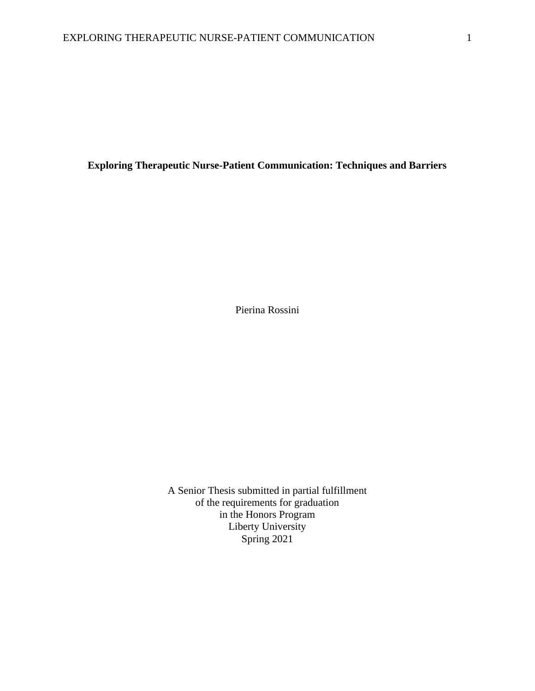**Exploring Therapeutic Nurse-Patient Communication: Techniques and Barriers**

Pierina Rossini

A Senior Thesis submitted in partial fulfillment of the requirements for graduation in the Honors Program Liberty University Spring 2021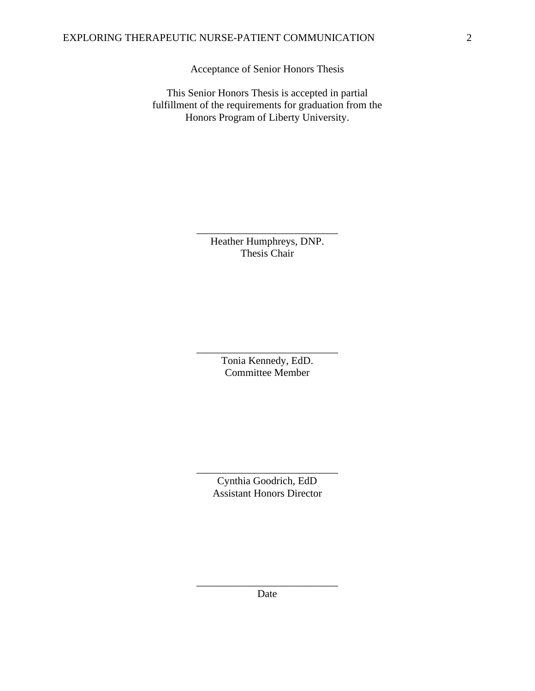Acceptance of Senior Honors Thesis

This Senior Honors Thesis is accepted in partial fulfillment of the requirements for graduation from the Honors Program of Liberty University.

> Heather Humphreys, DNP. Thesis Chair

\_\_\_\_\_\_\_\_\_\_\_\_\_\_\_\_\_\_\_\_\_\_\_\_\_\_\_

Tonia Kennedy, EdD. Committee Member

\_\_\_\_\_\_\_\_\_\_\_\_\_\_\_\_\_\_\_\_\_\_\_\_\_\_\_

Cynthia Goodrich, EdD Assistant Honors Director

\_\_\_\_\_\_\_\_\_\_\_\_\_\_\_\_\_\_\_\_\_\_\_\_\_\_\_

\_\_\_\_\_\_\_\_\_\_\_\_\_\_\_\_\_\_\_\_\_\_\_\_\_\_\_ Date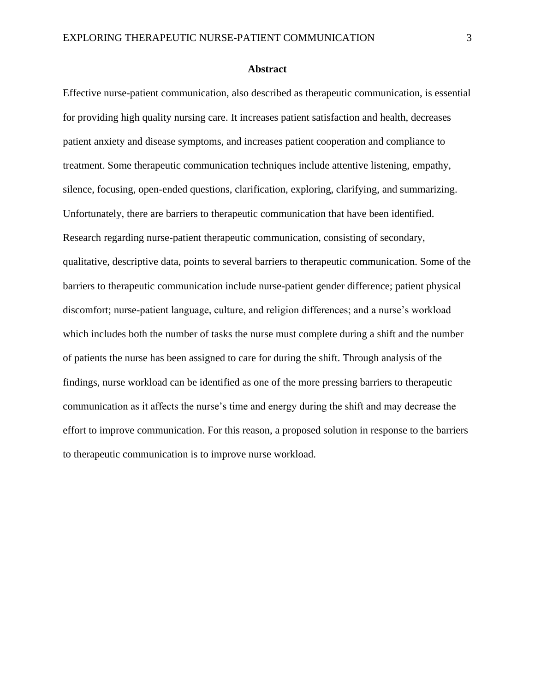# **Abstract**

Effective nurse-patient communication, also described as therapeutic communication, is essential for providing high quality nursing care. It increases patient satisfaction and health, decreases patient anxiety and disease symptoms, and increases patient cooperation and compliance to treatment. Some therapeutic communication techniques include attentive listening, empathy, silence, focusing, open-ended questions, clarification, exploring, clarifying, and summarizing. Unfortunately, there are barriers to therapeutic communication that have been identified. Research regarding nurse-patient therapeutic communication, consisting of secondary, qualitative, descriptive data, points to several barriers to therapeutic communication. Some of the barriers to therapeutic communication include nurse-patient gender difference; patient physical discomfort; nurse-patient language, culture, and religion differences; and a nurse's workload which includes both the number of tasks the nurse must complete during a shift and the number of patients the nurse has been assigned to care for during the shift. Through analysis of the findings, nurse workload can be identified as one of the more pressing barriers to therapeutic communication as it affects the nurse's time and energy during the shift and may decrease the effort to improve communication. For this reason, a proposed solution in response to the barriers to therapeutic communication is to improve nurse workload.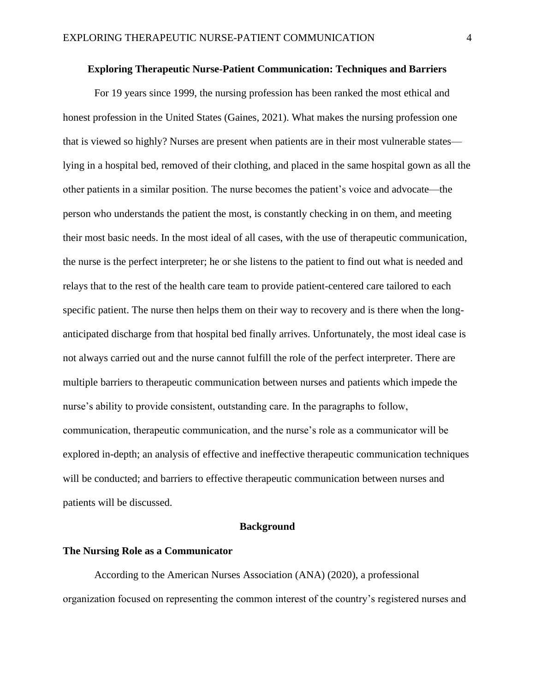# **Exploring Therapeutic Nurse-Patient Communication: Techniques and Barriers**

For 19 years since 1999, the nursing profession has been ranked the most ethical and honest profession in the United States (Gaines, 2021). What makes the nursing profession one that is viewed so highly? Nurses are present when patients are in their most vulnerable states lying in a hospital bed, removed of their clothing, and placed in the same hospital gown as all the other patients in a similar position. The nurse becomes the patient's voice and advocate—the person who understands the patient the most, is constantly checking in on them, and meeting their most basic needs. In the most ideal of all cases, with the use of therapeutic communication, the nurse is the perfect interpreter; he or she listens to the patient to find out what is needed and relays that to the rest of the health care team to provide patient-centered care tailored to each specific patient. The nurse then helps them on their way to recovery and is there when the longanticipated discharge from that hospital bed finally arrives. Unfortunately, the most ideal case is not always carried out and the nurse cannot fulfill the role of the perfect interpreter. There are multiple barriers to therapeutic communication between nurses and patients which impede the nurse's ability to provide consistent, outstanding care. In the paragraphs to follow, communication, therapeutic communication, and the nurse's role as a communicator will be explored in-depth; an analysis of effective and ineffective therapeutic communication techniques will be conducted; and barriers to effective therapeutic communication between nurses and patients will be discussed.

# **Background**

#### **The Nursing Role as a Communicator**

According to the American Nurses Association (ANA) (2020), a professional organization focused on representing the common interest of the country's registered nurses and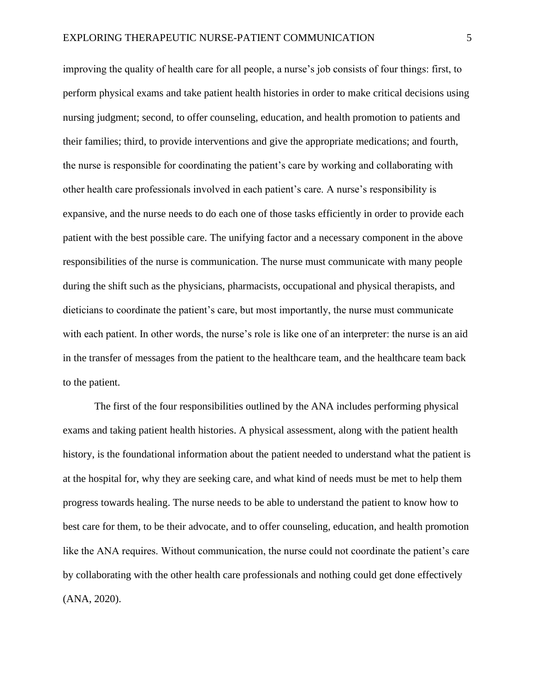improving the quality of health care for all people, a nurse's job consists of four things: first, to perform physical exams and take patient health histories in order to make critical decisions using nursing judgment; second, to offer counseling, education, and health promotion to patients and their families; third, to provide interventions and give the appropriate medications; and fourth, the nurse is responsible for coordinating the patient's care by working and collaborating with other health care professionals involved in each patient's care. A nurse's responsibility is expansive, and the nurse needs to do each one of those tasks efficiently in order to provide each patient with the best possible care. The unifying factor and a necessary component in the above responsibilities of the nurse is communication. The nurse must communicate with many people during the shift such as the physicians, pharmacists, occupational and physical therapists, and dieticians to coordinate the patient's care, but most importantly, the nurse must communicate with each patient. In other words, the nurse's role is like one of an interpreter: the nurse is an aid in the transfer of messages from the patient to the healthcare team, and the healthcare team back to the patient.

The first of the four responsibilities outlined by the ANA includes performing physical exams and taking patient health histories. A physical assessment, along with the patient health history, is the foundational information about the patient needed to understand what the patient is at the hospital for, why they are seeking care, and what kind of needs must be met to help them progress towards healing. The nurse needs to be able to understand the patient to know how to best care for them, to be their advocate, and to offer counseling, education, and health promotion like the ANA requires. Without communication, the nurse could not coordinate the patient's care by collaborating with the other health care professionals and nothing could get done effectively (ANA, 2020).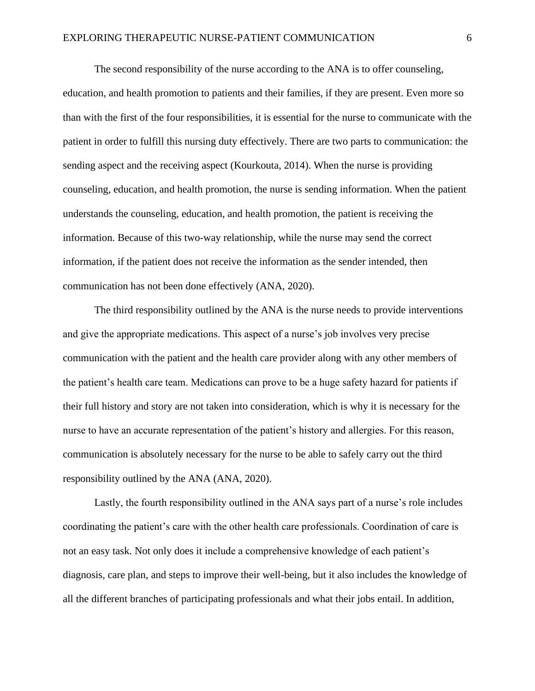The second responsibility of the nurse according to the ANA is to offer counseling, education, and health promotion to patients and their families, if they are present. Even more so than with the first of the four responsibilities, it is essential for the nurse to communicate with the patient in order to fulfill this nursing duty effectively. There are two parts to communication: the sending aspect and the receiving aspect (Kourkouta, 2014). When the nurse is providing counseling, education, and health promotion, the nurse is sending information. When the patient understands the counseling, education, and health promotion, the patient is receiving the information. Because of this two-way relationship, while the nurse may send the correct information, if the patient does not receive the information as the sender intended, then communication has not been done effectively (ANA, 2020).

The third responsibility outlined by the ANA is the nurse needs to provide interventions and give the appropriate medications. This aspect of a nurse's job involves very precise communication with the patient and the health care provider along with any other members of the patient's health care team. Medications can prove to be a huge safety hazard for patients if their full history and story are not taken into consideration, which is why it is necessary for the nurse to have an accurate representation of the patient's history and allergies. For this reason, communication is absolutely necessary for the nurse to be able to safely carry out the third responsibility outlined by the ANA (ANA, 2020).

Lastly, the fourth responsibility outlined in the ANA says part of a nurse's role includes coordinating the patient's care with the other health care professionals. Coordination of care is not an easy task. Not only does it include a comprehensive knowledge of each patient's diagnosis, care plan, and steps to improve their well-being, but it also includes the knowledge of all the different branches of participating professionals and what their jobs entail. In addition,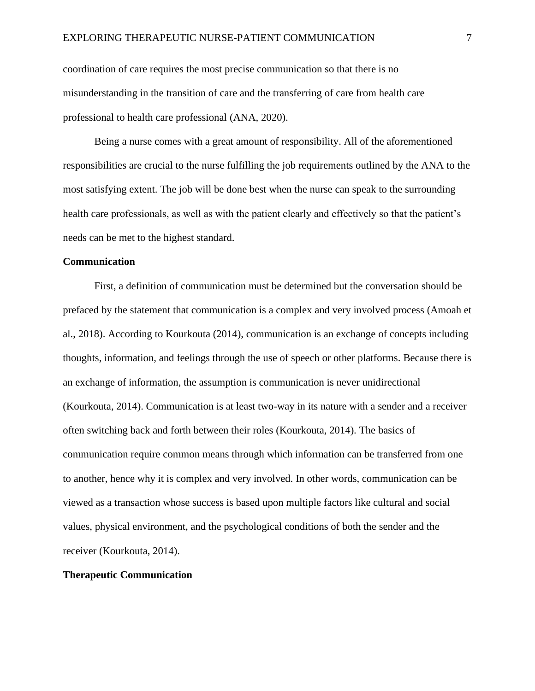coordination of care requires the most precise communication so that there is no misunderstanding in the transition of care and the transferring of care from health care professional to health care professional (ANA, 2020).

Being a nurse comes with a great amount of responsibility. All of the aforementioned responsibilities are crucial to the nurse fulfilling the job requirements outlined by the ANA to the most satisfying extent. The job will be done best when the nurse can speak to the surrounding health care professionals, as well as with the patient clearly and effectively so that the patient's needs can be met to the highest standard.

# **Communication**

First, a definition of communication must be determined but the conversation should be prefaced by the statement that communication is a complex and very involved process (Amoah et al., 2018). According to Kourkouta (2014), communication is an exchange of concepts including thoughts, information, and feelings through the use of speech or other platforms. Because there is an exchange of information, the assumption is communication is never unidirectional (Kourkouta, 2014). Communication is at least two-way in its nature with a sender and a receiver often switching back and forth between their roles (Kourkouta, 2014). The basics of communication require common means through which information can be transferred from one to another, hence why it is complex and very involved. In other words, communication can be viewed as a transaction whose success is based upon multiple factors like cultural and social values, physical environment, and the psychological conditions of both the sender and the receiver (Kourkouta, 2014).

# **Therapeutic Communication**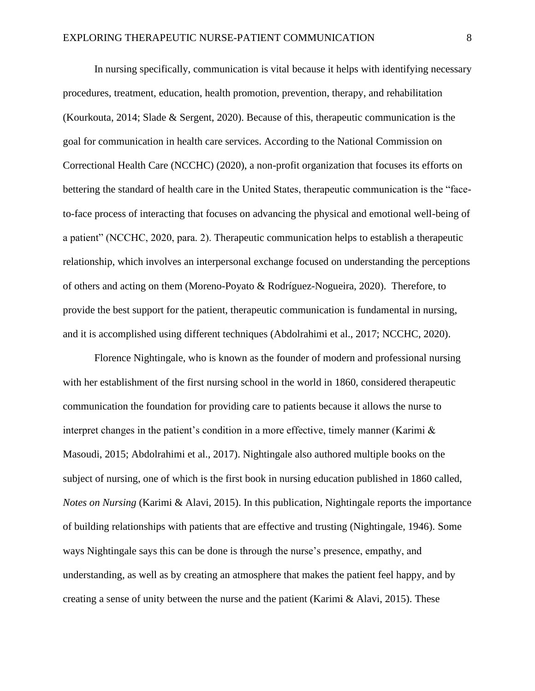In nursing specifically, communication is vital because it helps with identifying necessary procedures, treatment, education, health promotion, prevention, therapy, and rehabilitation (Kourkouta, 2014; Slade & Sergent, 2020). Because of this, therapeutic communication is the goal for communication in health care services. According to the National Commission on Correctional Health Care (NCCHC) (2020), a non-profit organization that focuses its efforts on bettering the standard of health care in the United States, therapeutic communication is the "faceto-face process of interacting that focuses on advancing the physical and emotional well-being of a patient" (NCCHC, 2020, para. 2). Therapeutic communication helps to establish a therapeutic relationship, which involves an interpersonal exchange focused on understanding the perceptions of others and acting on them (Moreno-Poyato & Rodríguez-Nogueira, 2020). Therefore, to provide the best support for the patient, therapeutic communication is fundamental in nursing, and it is accomplished using different techniques (Abdolrahimi et al., 2017; NCCHC, 2020).

Florence Nightingale, who is known as the founder of modern and professional nursing with her establishment of the first nursing school in the world in 1860, considered therapeutic communication the foundation for providing care to patients because it allows the nurse to interpret changes in the patient's condition in a more effective, timely manner (Karimi  $\&$ Masoudi, 2015; Abdolrahimi et al., 2017). Nightingale also authored multiple books on the subject of nursing, one of which is the first book in nursing education published in 1860 called, *Notes on Nursing* (Karimi & Alavi, 2015). In this publication, Nightingale reports the importance of building relationships with patients that are effective and trusting (Nightingale, 1946). Some ways Nightingale says this can be done is through the nurse's presence, empathy, and understanding, as well as by creating an atmosphere that makes the patient feel happy, and by creating a sense of unity between the nurse and the patient (Karimi  $\&$  Alavi, 2015). These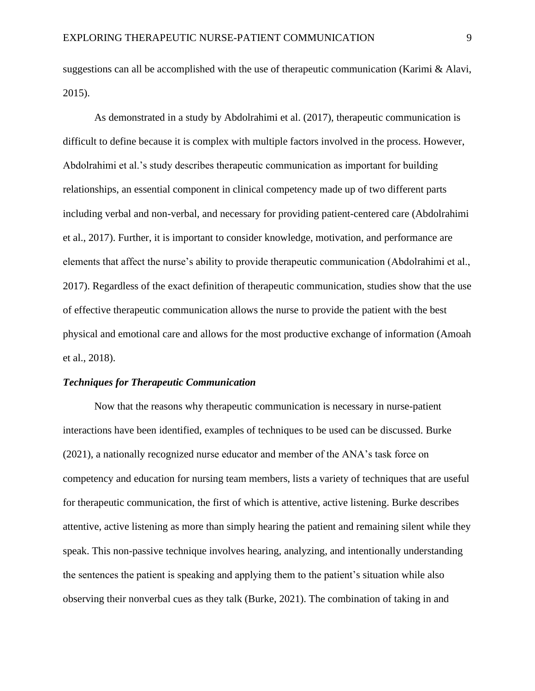suggestions can all be accomplished with the use of therapeutic communication (Karimi & Alavi, 2015).

As demonstrated in a study by Abdolrahimi et al. (2017), therapeutic communication is difficult to define because it is complex with multiple factors involved in the process. However, Abdolrahimi et al.'s study describes therapeutic communication as important for building relationships, an essential component in clinical competency made up of two different parts including verbal and non-verbal, and necessary for providing patient-centered care (Abdolrahimi et al., 2017). Further, it is important to consider knowledge, motivation, and performance are elements that affect the nurse's ability to provide therapeutic communication (Abdolrahimi et al., 2017). Regardless of the exact definition of therapeutic communication, studies show that the use of effective therapeutic communication allows the nurse to provide the patient with the best physical and emotional care and allows for the most productive exchange of information (Amoah et al., 2018).

# *Techniques for Therapeutic Communication*

Now that the reasons why therapeutic communication is necessary in nurse-patient interactions have been identified, examples of techniques to be used can be discussed. Burke (2021), a nationally recognized nurse educator and member of the ANA's task force on competency and education for nursing team members, lists a variety of techniques that are useful for therapeutic communication, the first of which is attentive, active listening. Burke describes attentive, active listening as more than simply hearing the patient and remaining silent while they speak. This non-passive technique involves hearing, analyzing, and intentionally understanding the sentences the patient is speaking and applying them to the patient's situation while also observing their nonverbal cues as they talk (Burke, 2021). The combination of taking in and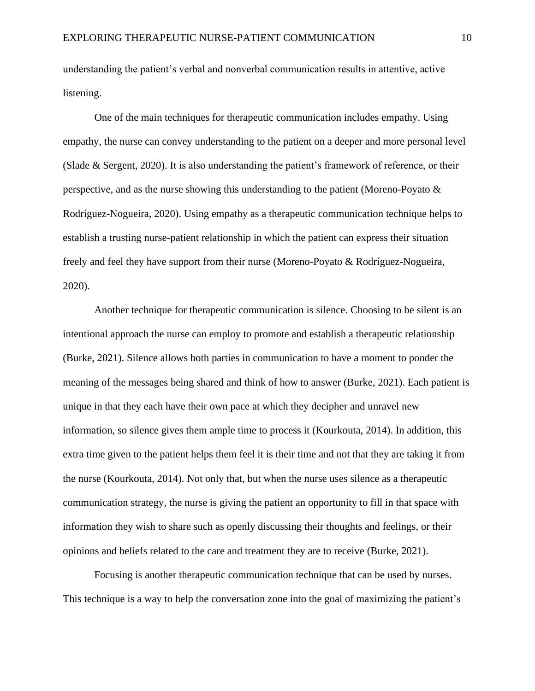understanding the patient's verbal and nonverbal communication results in attentive, active listening.

One of the main techniques for therapeutic communication includes empathy. Using empathy, the nurse can convey understanding to the patient on a deeper and more personal level (Slade & Sergent, 2020). It is also understanding the patient's framework of reference, or their perspective, and as the nurse showing this understanding to the patient (Moreno-Poyato & Rodríguez-Nogueira, 2020). Using empathy as a therapeutic communication technique helps to establish a trusting nurse-patient relationship in which the patient can express their situation freely and feel they have support from their nurse (Moreno-Poyato & Rodríguez-Nogueira, 2020).

Another technique for therapeutic communication is silence. Choosing to be silent is an intentional approach the nurse can employ to promote and establish a therapeutic relationship (Burke, 2021). Silence allows both parties in communication to have a moment to ponder the meaning of the messages being shared and think of how to answer (Burke, 2021). Each patient is unique in that they each have their own pace at which they decipher and unravel new information, so silence gives them ample time to process it (Kourkouta, 2014). In addition, this extra time given to the patient helps them feel it is their time and not that they are taking it from the nurse (Kourkouta, 2014). Not only that, but when the nurse uses silence as a therapeutic communication strategy, the nurse is giving the patient an opportunity to fill in that space with information they wish to share such as openly discussing their thoughts and feelings, or their opinions and beliefs related to the care and treatment they are to receive (Burke, 2021).

Focusing is another therapeutic communication technique that can be used by nurses. This technique is a way to help the conversation zone into the goal of maximizing the patient's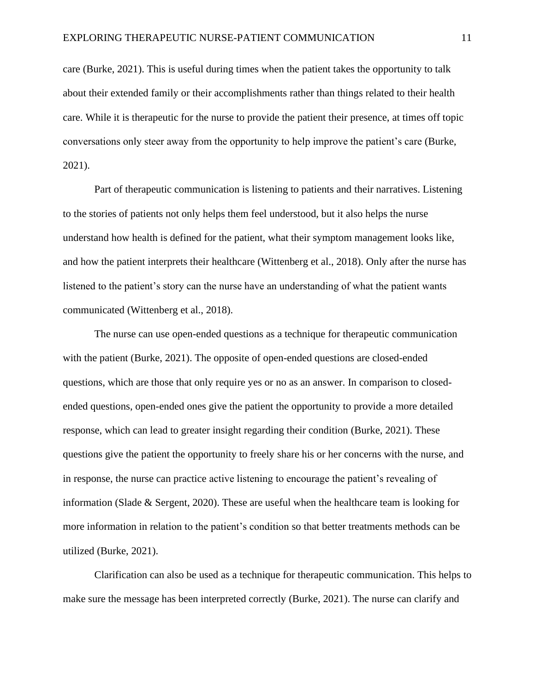care (Burke, 2021). This is useful during times when the patient takes the opportunity to talk about their extended family or their accomplishments rather than things related to their health care. While it is therapeutic for the nurse to provide the patient their presence, at times off topic conversations only steer away from the opportunity to help improve the patient's care (Burke, 2021).

Part of therapeutic communication is listening to patients and their narratives. Listening to the stories of patients not only helps them feel understood, but it also helps the nurse understand how health is defined for the patient, what their symptom management looks like, and how the patient interprets their healthcare (Wittenberg et al., 2018). Only after the nurse has listened to the patient's story can the nurse have an understanding of what the patient wants communicated (Wittenberg et al., 2018).

The nurse can use open-ended questions as a technique for therapeutic communication with the patient (Burke, 2021). The opposite of open-ended questions are closed-ended questions, which are those that only require yes or no as an answer. In comparison to closedended questions, open-ended ones give the patient the opportunity to provide a more detailed response, which can lead to greater insight regarding their condition (Burke, 2021). These questions give the patient the opportunity to freely share his or her concerns with the nurse, and in response, the nurse can practice active listening to encourage the patient's revealing of information (Slade & Sergent, 2020). These are useful when the healthcare team is looking for more information in relation to the patient's condition so that better treatments methods can be utilized (Burke, 2021).

Clarification can also be used as a technique for therapeutic communication. This helps to make sure the message has been interpreted correctly (Burke, 2021). The nurse can clarify and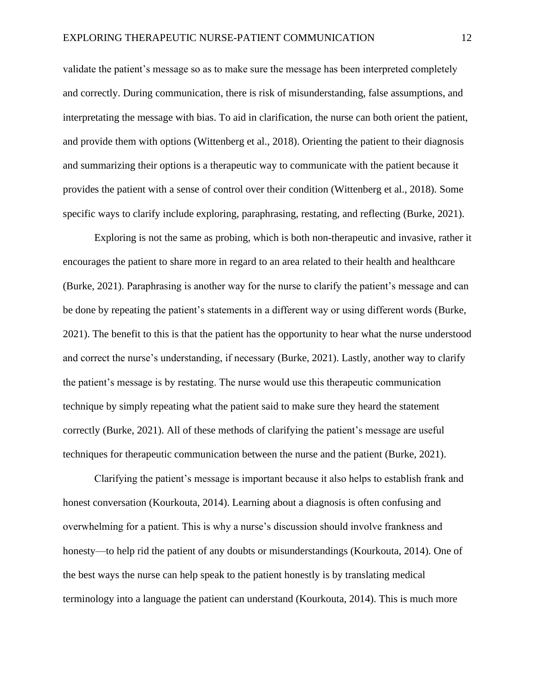validate the patient's message so as to make sure the message has been interpreted completely and correctly. During communication, there is risk of misunderstanding, false assumptions, and interpretating the message with bias. To aid in clarification, the nurse can both orient the patient, and provide them with options (Wittenberg et al., 2018). Orienting the patient to their diagnosis and summarizing their options is a therapeutic way to communicate with the patient because it provides the patient with a sense of control over their condition (Wittenberg et al., 2018). Some specific ways to clarify include exploring, paraphrasing, restating, and reflecting (Burke, 2021).

Exploring is not the same as probing, which is both non-therapeutic and invasive, rather it encourages the patient to share more in regard to an area related to their health and healthcare (Burke, 2021). Paraphrasing is another way for the nurse to clarify the patient's message and can be done by repeating the patient's statements in a different way or using different words (Burke, 2021). The benefit to this is that the patient has the opportunity to hear what the nurse understood and correct the nurse's understanding, if necessary (Burke, 2021). Lastly, another way to clarify the patient's message is by restating. The nurse would use this therapeutic communication technique by simply repeating what the patient said to make sure they heard the statement correctly (Burke, 2021). All of these methods of clarifying the patient's message are useful techniques for therapeutic communication between the nurse and the patient (Burke, 2021).

Clarifying the patient's message is important because it also helps to establish frank and honest conversation (Kourkouta, 2014). Learning about a diagnosis is often confusing and overwhelming for a patient. This is why a nurse's discussion should involve frankness and honesty—to help rid the patient of any doubts or misunderstandings (Kourkouta, 2014). One of the best ways the nurse can help speak to the patient honestly is by translating medical terminology into a language the patient can understand (Kourkouta, 2014). This is much more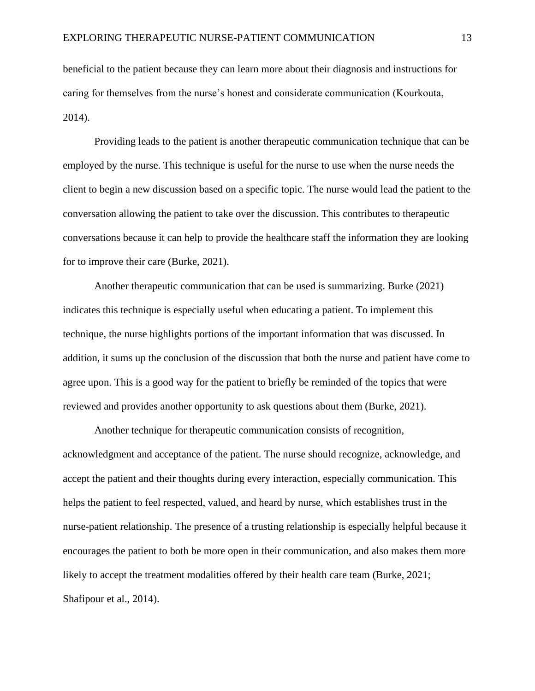beneficial to the patient because they can learn more about their diagnosis and instructions for caring for themselves from the nurse's honest and considerate communication (Kourkouta, 2014).

Providing leads to the patient is another therapeutic communication technique that can be employed by the nurse. This technique is useful for the nurse to use when the nurse needs the client to begin a new discussion based on a specific topic. The nurse would lead the patient to the conversation allowing the patient to take over the discussion. This contributes to therapeutic conversations because it can help to provide the healthcare staff the information they are looking for to improve their care (Burke, 2021).

Another therapeutic communication that can be used is summarizing. Burke (2021) indicates this technique is especially useful when educating a patient. To implement this technique, the nurse highlights portions of the important information that was discussed. In addition, it sums up the conclusion of the discussion that both the nurse and patient have come to agree upon. This is a good way for the patient to briefly be reminded of the topics that were reviewed and provides another opportunity to ask questions about them (Burke, 2021).

Another technique for therapeutic communication consists of recognition, acknowledgment and acceptance of the patient. The nurse should recognize, acknowledge, and accept the patient and their thoughts during every interaction, especially communication. This helps the patient to feel respected, valued, and heard by nurse, which establishes trust in the nurse-patient relationship. The presence of a trusting relationship is especially helpful because it encourages the patient to both be more open in their communication, and also makes them more likely to accept the treatment modalities offered by their health care team (Burke, 2021; Shafipour et al., 2014).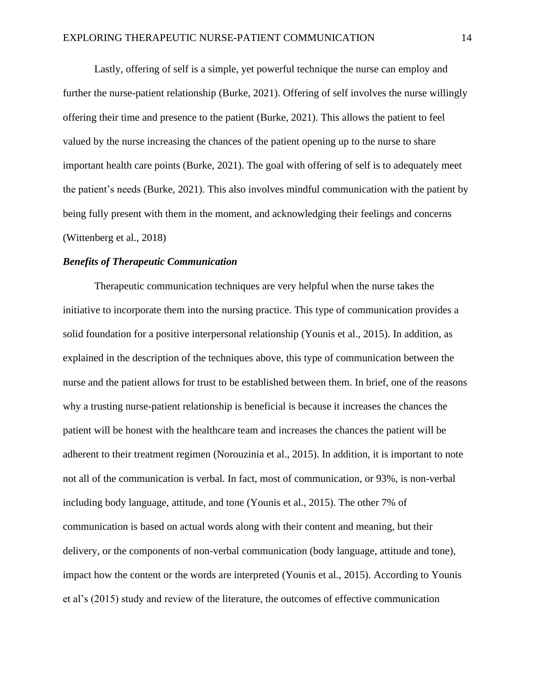Lastly, offering of self is a simple, yet powerful technique the nurse can employ and further the nurse-patient relationship (Burke, 2021). Offering of self involves the nurse willingly offering their time and presence to the patient (Burke, 2021). This allows the patient to feel valued by the nurse increasing the chances of the patient opening up to the nurse to share important health care points (Burke, 2021). The goal with offering of self is to adequately meet the patient's needs (Burke, 2021). This also involves mindful communication with the patient by being fully present with them in the moment, and acknowledging their feelings and concerns (Wittenberg et al., 2018)

# *Benefits of Therapeutic Communication*

Therapeutic communication techniques are very helpful when the nurse takes the initiative to incorporate them into the nursing practice. This type of communication provides a solid foundation for a positive interpersonal relationship (Younis et al., 2015). In addition, as explained in the description of the techniques above, this type of communication between the nurse and the patient allows for trust to be established between them. In brief, one of the reasons why a trusting nurse-patient relationship is beneficial is because it increases the chances the patient will be honest with the healthcare team and increases the chances the patient will be adherent to their treatment regimen (Norouzinia et al., 2015). In addition, it is important to note not all of the communication is verbal. In fact, most of communication, or 93%, is non-verbal including body language, attitude, and tone (Younis et al., 2015). The other 7% of communication is based on actual words along with their content and meaning, but their delivery, or the components of non-verbal communication (body language, attitude and tone), impact how the content or the words are interpreted (Younis et al., 2015). According to Younis et al's (2015) study and review of the literature, the outcomes of effective communication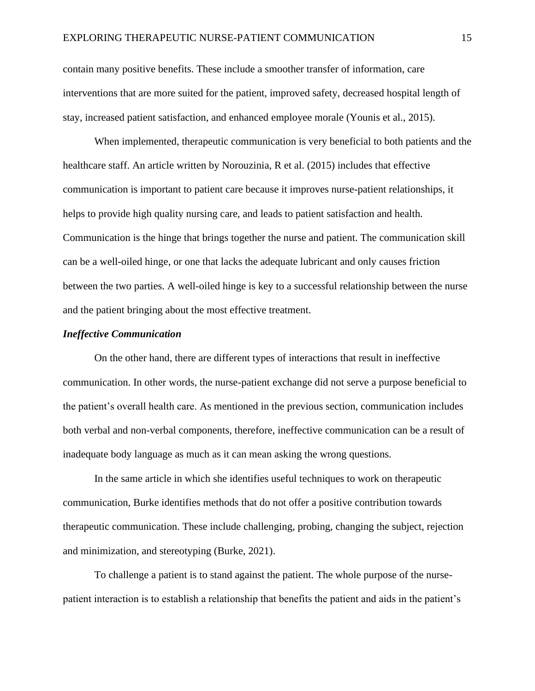contain many positive benefits. These include a smoother transfer of information, care interventions that are more suited for the patient, improved safety, decreased hospital length of stay, increased patient satisfaction, and enhanced employee morale (Younis et al., 2015).

When implemented, therapeutic communication is very beneficial to both patients and the healthcare staff. An article written by Norouzinia, R et al. (2015) includes that effective communication is important to patient care because it improves nurse-patient relationships, it helps to provide high quality nursing care, and leads to patient satisfaction and health. Communication is the hinge that brings together the nurse and patient. The communication skill can be a well-oiled hinge, or one that lacks the adequate lubricant and only causes friction between the two parties. A well-oiled hinge is key to a successful relationship between the nurse and the patient bringing about the most effective treatment.

# *Ineffective Communication*

On the other hand, there are different types of interactions that result in ineffective communication. In other words, the nurse-patient exchange did not serve a purpose beneficial to the patient's overall health care. As mentioned in the previous section, communication includes both verbal and non-verbal components, therefore, ineffective communication can be a result of inadequate body language as much as it can mean asking the wrong questions.

In the same article in which she identifies useful techniques to work on therapeutic communication, Burke identifies methods that do not offer a positive contribution towards therapeutic communication. These include challenging, probing, changing the subject, rejection and minimization, and stereotyping (Burke, 2021).

To challenge a patient is to stand against the patient. The whole purpose of the nursepatient interaction is to establish a relationship that benefits the patient and aids in the patient's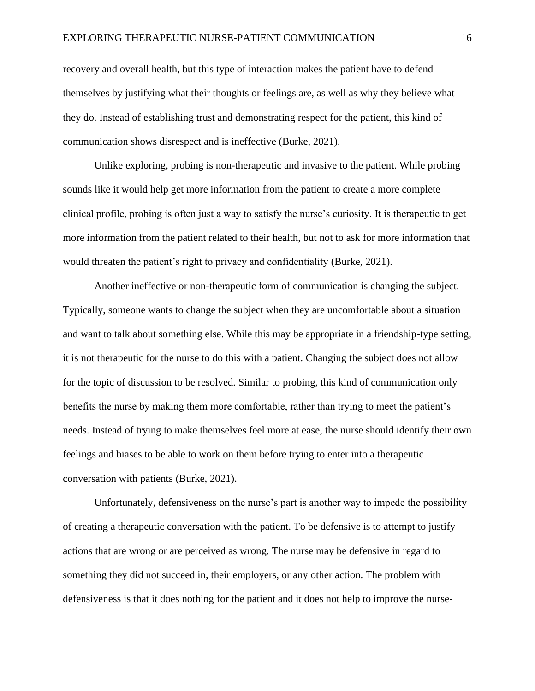recovery and overall health, but this type of interaction makes the patient have to defend themselves by justifying what their thoughts or feelings are, as well as why they believe what they do. Instead of establishing trust and demonstrating respect for the patient, this kind of communication shows disrespect and is ineffective (Burke, 2021).

Unlike exploring, probing is non-therapeutic and invasive to the patient. While probing sounds like it would help get more information from the patient to create a more complete clinical profile, probing is often just a way to satisfy the nurse's curiosity. It is therapeutic to get more information from the patient related to their health, but not to ask for more information that would threaten the patient's right to privacy and confidentiality (Burke, 2021).

Another ineffective or non-therapeutic form of communication is changing the subject. Typically, someone wants to change the subject when they are uncomfortable about a situation and want to talk about something else. While this may be appropriate in a friendship-type setting, it is not therapeutic for the nurse to do this with a patient. Changing the subject does not allow for the topic of discussion to be resolved. Similar to probing, this kind of communication only benefits the nurse by making them more comfortable, rather than trying to meet the patient's needs. Instead of trying to make themselves feel more at ease, the nurse should identify their own feelings and biases to be able to work on them before trying to enter into a therapeutic conversation with patients (Burke, 2021).

Unfortunately, defensiveness on the nurse's part is another way to impede the possibility of creating a therapeutic conversation with the patient. To be defensive is to attempt to justify actions that are wrong or are perceived as wrong. The nurse may be defensive in regard to something they did not succeed in, their employers, or any other action. The problem with defensiveness is that it does nothing for the patient and it does not help to improve the nurse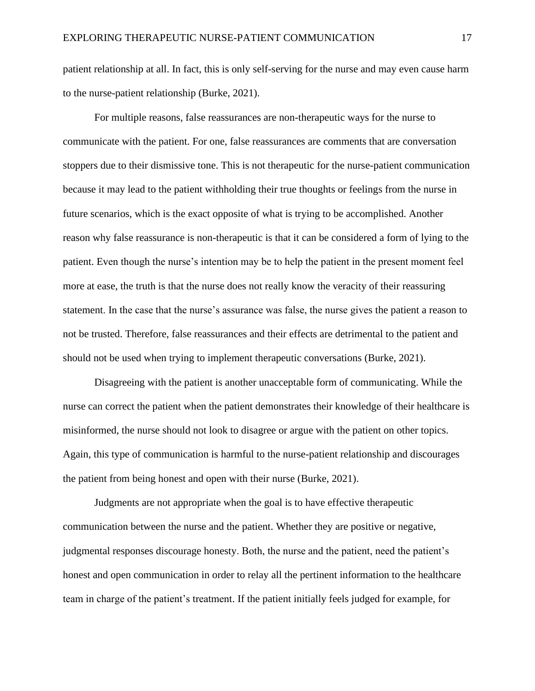patient relationship at all. In fact, this is only self-serving for the nurse and may even cause harm to the nurse-patient relationship (Burke, 2021).

For multiple reasons, false reassurances are non-therapeutic ways for the nurse to communicate with the patient. For one, false reassurances are comments that are conversation stoppers due to their dismissive tone. This is not therapeutic for the nurse-patient communication because it may lead to the patient withholding their true thoughts or feelings from the nurse in future scenarios, which is the exact opposite of what is trying to be accomplished. Another reason why false reassurance is non-therapeutic is that it can be considered a form of lying to the patient. Even though the nurse's intention may be to help the patient in the present moment feel more at ease, the truth is that the nurse does not really know the veracity of their reassuring statement. In the case that the nurse's assurance was false, the nurse gives the patient a reason to not be trusted. Therefore, false reassurances and their effects are detrimental to the patient and should not be used when trying to implement therapeutic conversations (Burke, 2021).

Disagreeing with the patient is another unacceptable form of communicating. While the nurse can correct the patient when the patient demonstrates their knowledge of their healthcare is misinformed, the nurse should not look to disagree or argue with the patient on other topics. Again, this type of communication is harmful to the nurse-patient relationship and discourages the patient from being honest and open with their nurse (Burke, 2021).

Judgments are not appropriate when the goal is to have effective therapeutic communication between the nurse and the patient. Whether they are positive or negative, judgmental responses discourage honesty. Both, the nurse and the patient, need the patient's honest and open communication in order to relay all the pertinent information to the healthcare team in charge of the patient's treatment. If the patient initially feels judged for example, for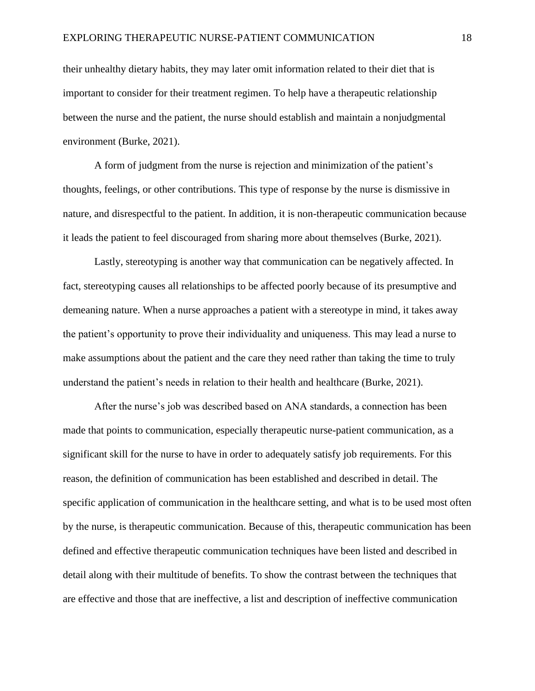their unhealthy dietary habits, they may later omit information related to their diet that is important to consider for their treatment regimen. To help have a therapeutic relationship between the nurse and the patient, the nurse should establish and maintain a nonjudgmental environment (Burke, 2021).

A form of judgment from the nurse is rejection and minimization of the patient's thoughts, feelings, or other contributions. This type of response by the nurse is dismissive in nature, and disrespectful to the patient. In addition, it is non-therapeutic communication because it leads the patient to feel discouraged from sharing more about themselves (Burke, 2021).

Lastly, stereotyping is another way that communication can be negatively affected. In fact, stereotyping causes all relationships to be affected poorly because of its presumptive and demeaning nature. When a nurse approaches a patient with a stereotype in mind, it takes away the patient's opportunity to prove their individuality and uniqueness. This may lead a nurse to make assumptions about the patient and the care they need rather than taking the time to truly understand the patient's needs in relation to their health and healthcare (Burke, 2021).

After the nurse's job was described based on ANA standards, a connection has been made that points to communication, especially therapeutic nurse-patient communication, as a significant skill for the nurse to have in order to adequately satisfy job requirements. For this reason, the definition of communication has been established and described in detail. The specific application of communication in the healthcare setting, and what is to be used most often by the nurse, is therapeutic communication. Because of this, therapeutic communication has been defined and effective therapeutic communication techniques have been listed and described in detail along with their multitude of benefits. To show the contrast between the techniques that are effective and those that are ineffective, a list and description of ineffective communication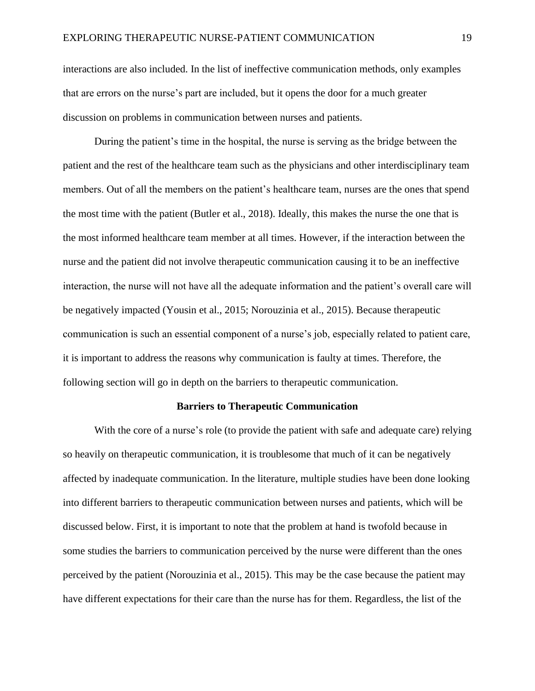interactions are also included. In the list of ineffective communication methods, only examples that are errors on the nurse's part are included, but it opens the door for a much greater discussion on problems in communication between nurses and patients.

During the patient's time in the hospital, the nurse is serving as the bridge between the patient and the rest of the healthcare team such as the physicians and other interdisciplinary team members. Out of all the members on the patient's healthcare team, nurses are the ones that spend the most time with the patient (Butler et al., 2018). Ideally, this makes the nurse the one that is the most informed healthcare team member at all times. However, if the interaction between the nurse and the patient did not involve therapeutic communication causing it to be an ineffective interaction, the nurse will not have all the adequate information and the patient's overall care will be negatively impacted (Yousin et al., 2015; Norouzinia et al., 2015). Because therapeutic communication is such an essential component of a nurse's job, especially related to patient care, it is important to address the reasons why communication is faulty at times. Therefore, the following section will go in depth on the barriers to therapeutic communication.

#### **Barriers to Therapeutic Communication**

With the core of a nurse's role (to provide the patient with safe and adequate care) relying so heavily on therapeutic communication, it is troublesome that much of it can be negatively affected by inadequate communication. In the literature, multiple studies have been done looking into different barriers to therapeutic communication between nurses and patients, which will be discussed below. First, it is important to note that the problem at hand is twofold because in some studies the barriers to communication perceived by the nurse were different than the ones perceived by the patient (Norouzinia et al., 2015). This may be the case because the patient may have different expectations for their care than the nurse has for them. Regardless, the list of the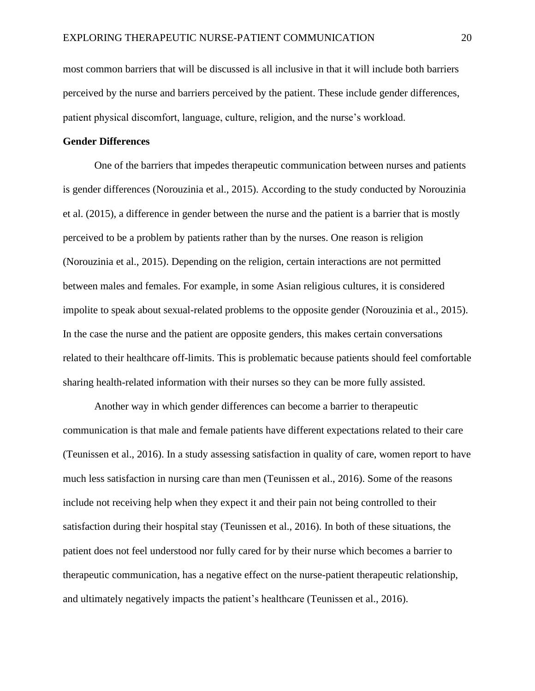most common barriers that will be discussed is all inclusive in that it will include both barriers perceived by the nurse and barriers perceived by the patient. These include gender differences, patient physical discomfort, language, culture, religion, and the nurse's workload.

## **Gender Differences**

One of the barriers that impedes therapeutic communication between nurses and patients is gender differences (Norouzinia et al., 2015). According to the study conducted by Norouzinia et al. (2015), a difference in gender between the nurse and the patient is a barrier that is mostly perceived to be a problem by patients rather than by the nurses. One reason is religion (Norouzinia et al., 2015). Depending on the religion, certain interactions are not permitted between males and females. For example, in some Asian religious cultures, it is considered impolite to speak about sexual-related problems to the opposite gender (Norouzinia et al., 2015). In the case the nurse and the patient are opposite genders, this makes certain conversations related to their healthcare off-limits. This is problematic because patients should feel comfortable sharing health-related information with their nurses so they can be more fully assisted.

Another way in which gender differences can become a barrier to therapeutic communication is that male and female patients have different expectations related to their care (Teunissen et al., 2016). In a study assessing satisfaction in quality of care, women report to have much less satisfaction in nursing care than men (Teunissen et al., 2016). Some of the reasons include not receiving help when they expect it and their pain not being controlled to their satisfaction during their hospital stay (Teunissen et al., 2016). In both of these situations, the patient does not feel understood nor fully cared for by their nurse which becomes a barrier to therapeutic communication, has a negative effect on the nurse-patient therapeutic relationship, and ultimately negatively impacts the patient's healthcare (Teunissen et al., 2016).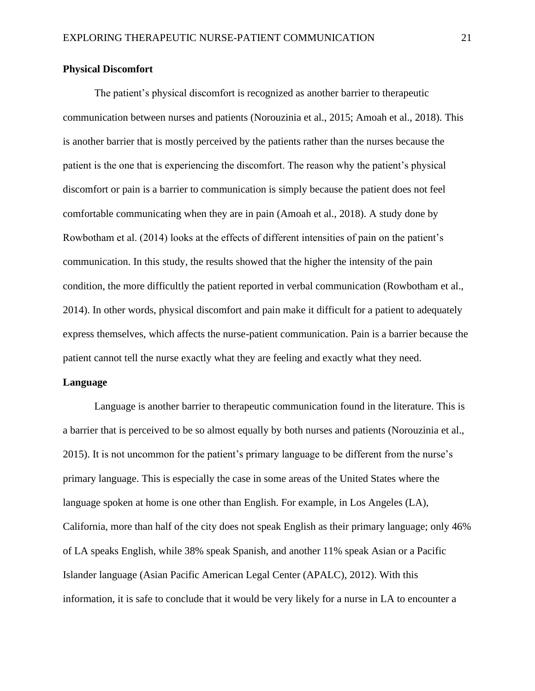# **Physical Discomfort**

The patient's physical discomfort is recognized as another barrier to therapeutic communication between nurses and patients (Norouzinia et al., 2015; Amoah et al., 2018). This is another barrier that is mostly perceived by the patients rather than the nurses because the patient is the one that is experiencing the discomfort. The reason why the patient's physical discomfort or pain is a barrier to communication is simply because the patient does not feel comfortable communicating when they are in pain (Amoah et al., 2018). A study done by Rowbotham et al. (2014) looks at the effects of different intensities of pain on the patient's communication. In this study, the results showed that the higher the intensity of the pain condition, the more difficultly the patient reported in verbal communication (Rowbotham et al., 2014). In other words, physical discomfort and pain make it difficult for a patient to adequately express themselves, which affects the nurse-patient communication. Pain is a barrier because the patient cannot tell the nurse exactly what they are feeling and exactly what they need.

#### **Language**

Language is another barrier to therapeutic communication found in the literature. This is a barrier that is perceived to be so almost equally by both nurses and patients (Norouzinia et al., 2015). It is not uncommon for the patient's primary language to be different from the nurse's primary language. This is especially the case in some areas of the United States where the language spoken at home is one other than English. For example, in Los Angeles (LA), California, more than half of the city does not speak English as their primary language; only 46% of LA speaks English, while 38% speak Spanish, and another 11% speak Asian or a Pacific Islander language (Asian Pacific American Legal Center (APALC), 2012). With this information, it is safe to conclude that it would be very likely for a nurse in LA to encounter a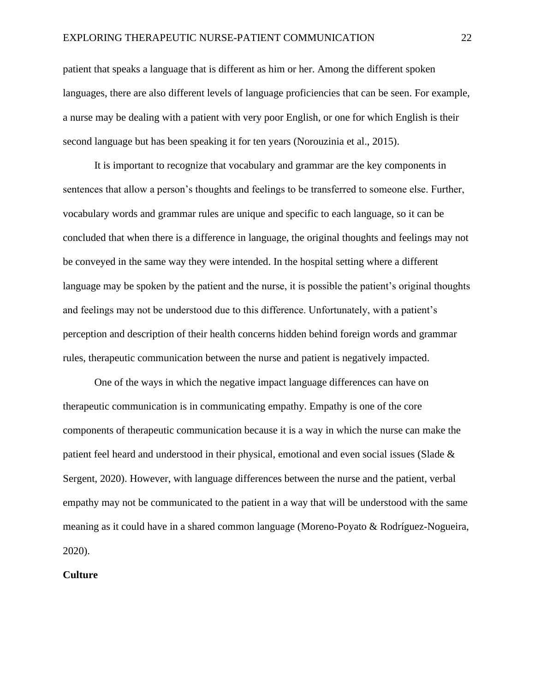patient that speaks a language that is different as him or her. Among the different spoken languages, there are also different levels of language proficiencies that can be seen. For example, a nurse may be dealing with a patient with very poor English, or one for which English is their second language but has been speaking it for ten years (Norouzinia et al., 2015).

It is important to recognize that vocabulary and grammar are the key components in sentences that allow a person's thoughts and feelings to be transferred to someone else. Further, vocabulary words and grammar rules are unique and specific to each language, so it can be concluded that when there is a difference in language, the original thoughts and feelings may not be conveyed in the same way they were intended. In the hospital setting where a different language may be spoken by the patient and the nurse, it is possible the patient's original thoughts and feelings may not be understood due to this difference. Unfortunately, with a patient's perception and description of their health concerns hidden behind foreign words and grammar rules, therapeutic communication between the nurse and patient is negatively impacted.

One of the ways in which the negative impact language differences can have on therapeutic communication is in communicating empathy. Empathy is one of the core components of therapeutic communication because it is a way in which the nurse can make the patient feel heard and understood in their physical, emotional and even social issues (Slade & Sergent, 2020). However, with language differences between the nurse and the patient, verbal empathy may not be communicated to the patient in a way that will be understood with the same meaning as it could have in a shared common language (Moreno-Poyato & Rodríguez-Nogueira, 2020).

# **Culture**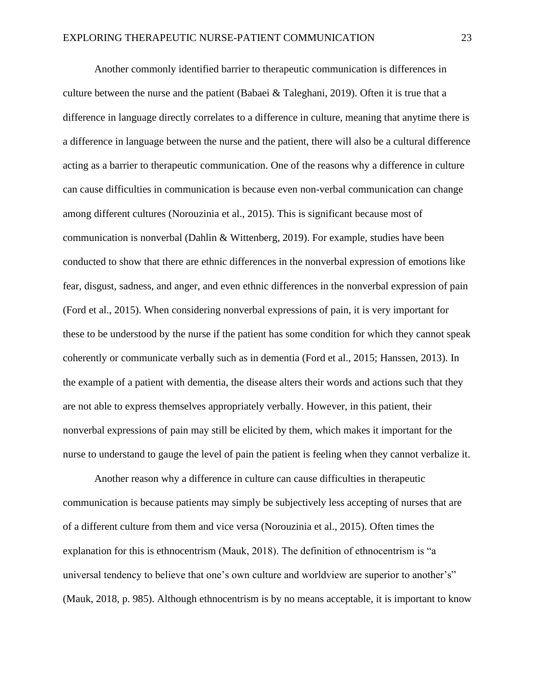Another commonly identified barrier to therapeutic communication is differences in culture between the nurse and the patient (Babaei & Taleghani, 2019). Often it is true that a difference in language directly correlates to a difference in culture, meaning that anytime there is a difference in language between the nurse and the patient, there will also be a cultural difference acting as a barrier to therapeutic communication. One of the reasons why a difference in culture can cause difficulties in communication is because even non-verbal communication can change among different cultures (Norouzinia et al., 2015). This is significant because most of communication is nonverbal (Dahlin & Wittenberg, 2019). For example, studies have been conducted to show that there are ethnic differences in the nonverbal expression of emotions like fear, disgust, sadness, and anger, and even ethnic differences in the nonverbal expression of pain (Ford et al., 2015). When considering nonverbal expressions of pain, it is very important for these to be understood by the nurse if the patient has some condition for which they cannot speak coherently or communicate verbally such as in dementia (Ford et al., 2015; Hanssen, 2013). In the example of a patient with dementia, the disease alters their words and actions such that they are not able to express themselves appropriately verbally. However, in this patient, their nonverbal expressions of pain may still be elicited by them, which makes it important for the nurse to understand to gauge the level of pain the patient is feeling when they cannot verbalize it.

Another reason why a difference in culture can cause difficulties in therapeutic communication is because patients may simply be subjectively less accepting of nurses that are of a different culture from them and vice versa (Norouzinia et al., 2015). Often times the explanation for this is ethnocentrism (Mauk, 2018). The definition of ethnocentrism is "a universal tendency to believe that one's own culture and worldview are superior to another's" (Mauk, 2018, p. 985). Although ethnocentrism is by no means acceptable, it is important to know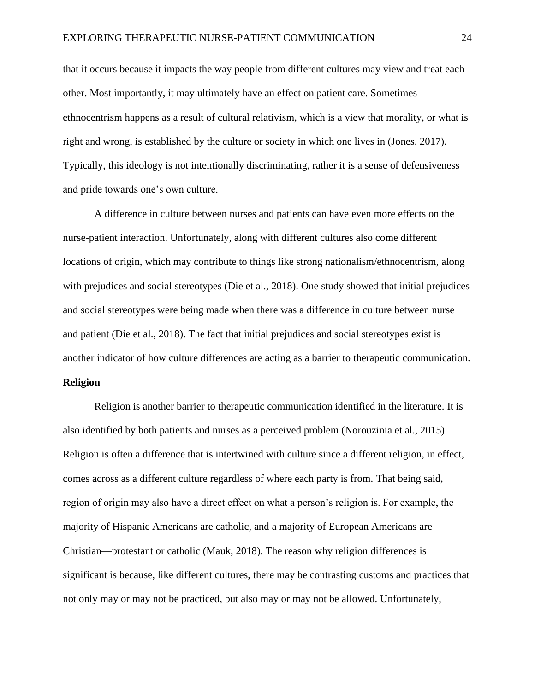that it occurs because it impacts the way people from different cultures may view and treat each other. Most importantly, it may ultimately have an effect on patient care. Sometimes ethnocentrism happens as a result of cultural relativism, which is a view that morality, or what is right and wrong, is established by the culture or society in which one lives in (Jones, 2017). Typically, this ideology is not intentionally discriminating, rather it is a sense of defensiveness and pride towards one's own culture.

A difference in culture between nurses and patients can have even more effects on the nurse-patient interaction. Unfortunately, along with different cultures also come different locations of origin, which may contribute to things like strong nationalism/ethnocentrism, along with prejudices and social stereotypes (Die et al., 2018). One study showed that initial prejudices and social stereotypes were being made when there was a difference in culture between nurse and patient (Die et al., 2018). The fact that initial prejudices and social stereotypes exist is another indicator of how culture differences are acting as a barrier to therapeutic communication. **Religion**

Religion is another barrier to therapeutic communication identified in the literature. It is also identified by both patients and nurses as a perceived problem (Norouzinia et al., 2015). Religion is often a difference that is intertwined with culture since a different religion, in effect, comes across as a different culture regardless of where each party is from. That being said, region of origin may also have a direct effect on what a person's religion is. For example, the majority of Hispanic Americans are catholic, and a majority of European Americans are Christian—protestant or catholic (Mauk, 2018). The reason why religion differences is significant is because, like different cultures, there may be contrasting customs and practices that not only may or may not be practiced, but also may or may not be allowed. Unfortunately,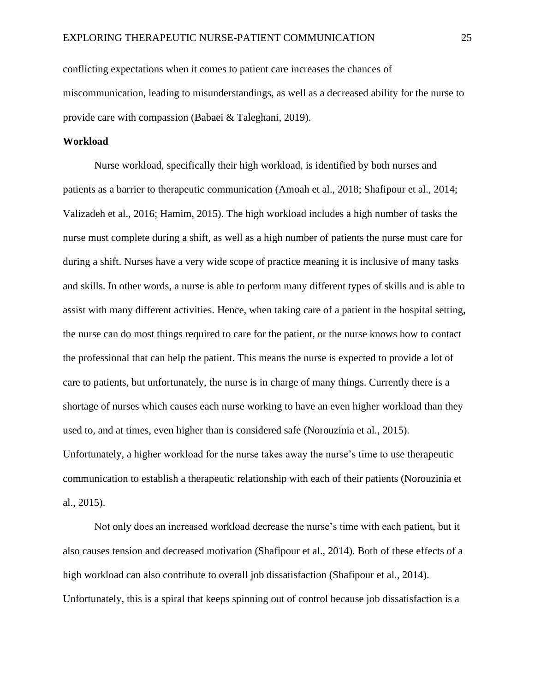conflicting expectations when it comes to patient care increases the chances of miscommunication, leading to misunderstandings, as well as a decreased ability for the nurse to provide care with compassion (Babaei & Taleghani, 2019).

# **Workload**

Nurse workload, specifically their high workload, is identified by both nurses and patients as a barrier to therapeutic communication (Amoah et al., 2018; Shafipour et al., 2014; Valizadeh et al., 2016; Hamim, 2015). The high workload includes a high number of tasks the nurse must complete during a shift, as well as a high number of patients the nurse must care for during a shift. Nurses have a very wide scope of practice meaning it is inclusive of many tasks and skills. In other words, a nurse is able to perform many different types of skills and is able to assist with many different activities. Hence, when taking care of a patient in the hospital setting, the nurse can do most things required to care for the patient, or the nurse knows how to contact the professional that can help the patient. This means the nurse is expected to provide a lot of care to patients, but unfortunately, the nurse is in charge of many things. Currently there is a shortage of nurses which causes each nurse working to have an even higher workload than they used to, and at times, even higher than is considered safe (Norouzinia et al., 2015). Unfortunately, a higher workload for the nurse takes away the nurse's time to use therapeutic communication to establish a therapeutic relationship with each of their patients (Norouzinia et al., 2015).

Not only does an increased workload decrease the nurse's time with each patient, but it also causes tension and decreased motivation (Shafipour et al., 2014). Both of these effects of a high workload can also contribute to overall job dissatisfaction (Shafipour et al., 2014). Unfortunately, this is a spiral that keeps spinning out of control because job dissatisfaction is a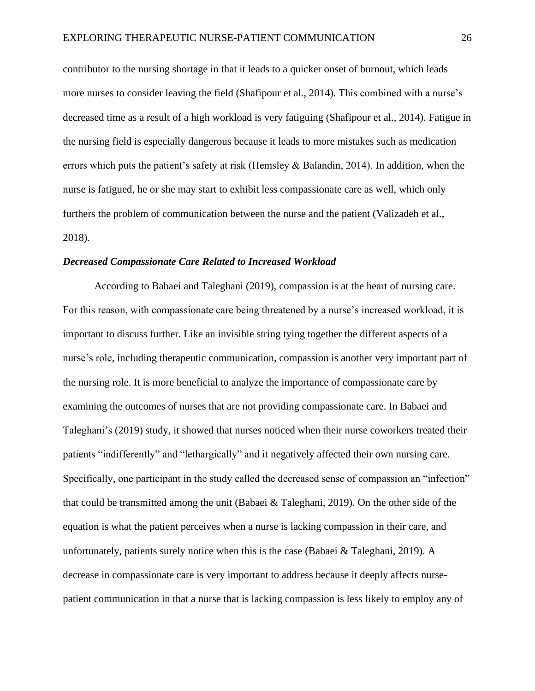contributor to the nursing shortage in that it leads to a quicker onset of burnout, which leads more nurses to consider leaving the field (Shafipour et al., 2014). This combined with a nurse's decreased time as a result of a high workload is very fatiguing (Shafipour et al., 2014). Fatigue in the nursing field is especially dangerous because it leads to more mistakes such as medication errors which puts the patient's safety at risk (Hemsley & Balandin, 2014). In addition, when the nurse is fatigued, he or she may start to exhibit less compassionate care as well, which only furthers the problem of communication between the nurse and the patient (Valizadeh et al., 2018).

#### *Decreased Compassionate Care Related to Increased Workload*

According to Babaei and Taleghani (2019), compassion is at the heart of nursing care. For this reason, with compassionate care being threatened by a nurse's increased workload, it is important to discuss further. Like an invisible string tying together the different aspects of a nurse's role, including therapeutic communication, compassion is another very important part of the nursing role. It is more beneficial to analyze the importance of compassionate care by examining the outcomes of nurses that are not providing compassionate care. In Babaei and Taleghani's (2019) study, it showed that nurses noticed when their nurse coworkers treated their patients "indifferently" and "lethargically" and it negatively affected their own nursing care. Specifically, one participant in the study called the decreased sense of compassion an "infection" that could be transmitted among the unit (Babaei & Taleghani, 2019). On the other side of the equation is what the patient perceives when a nurse is lacking compassion in their care, and unfortunately, patients surely notice when this is the case (Babaei  $\&$  Taleghani, 2019). A decrease in compassionate care is very important to address because it deeply affects nursepatient communication in that a nurse that is lacking compassion is less likely to employ any of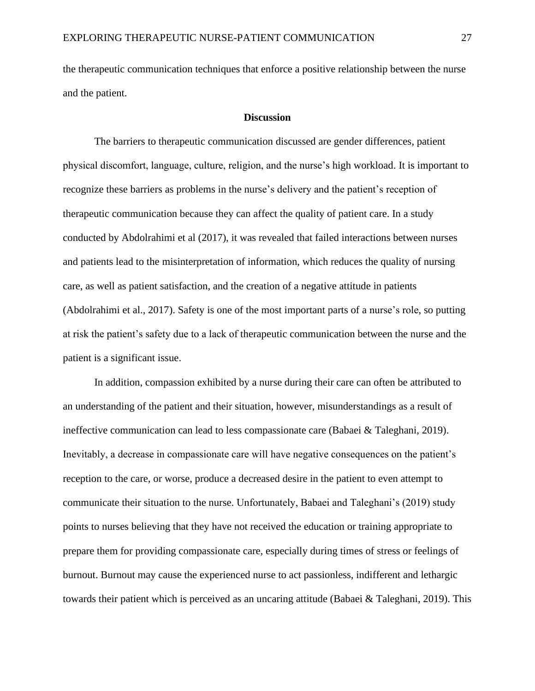the therapeutic communication techniques that enforce a positive relationship between the nurse and the patient.

#### **Discussion**

The barriers to therapeutic communication discussed are gender differences, patient physical discomfort, language, culture, religion, and the nurse's high workload. It is important to recognize these barriers as problems in the nurse's delivery and the patient's reception of therapeutic communication because they can affect the quality of patient care. In a study conducted by Abdolrahimi et al (2017), it was revealed that failed interactions between nurses and patients lead to the misinterpretation of information, which reduces the quality of nursing care, as well as patient satisfaction, and the creation of a negative attitude in patients (Abdolrahimi et al., 2017). Safety is one of the most important parts of a nurse's role, so putting at risk the patient's safety due to a lack of therapeutic communication between the nurse and the patient is a significant issue.

In addition, compassion exhibited by a nurse during their care can often be attributed to an understanding of the patient and their situation, however, misunderstandings as a result of ineffective communication can lead to less compassionate care (Babaei & Taleghani, 2019). Inevitably, a decrease in compassionate care will have negative consequences on the patient's reception to the care, or worse, produce a decreased desire in the patient to even attempt to communicate their situation to the nurse. Unfortunately, Babaei and Taleghani's (2019) study points to nurses believing that they have not received the education or training appropriate to prepare them for providing compassionate care, especially during times of stress or feelings of burnout. Burnout may cause the experienced nurse to act passionless, indifferent and lethargic towards their patient which is perceived as an uncaring attitude (Babaei & Taleghani, 2019). This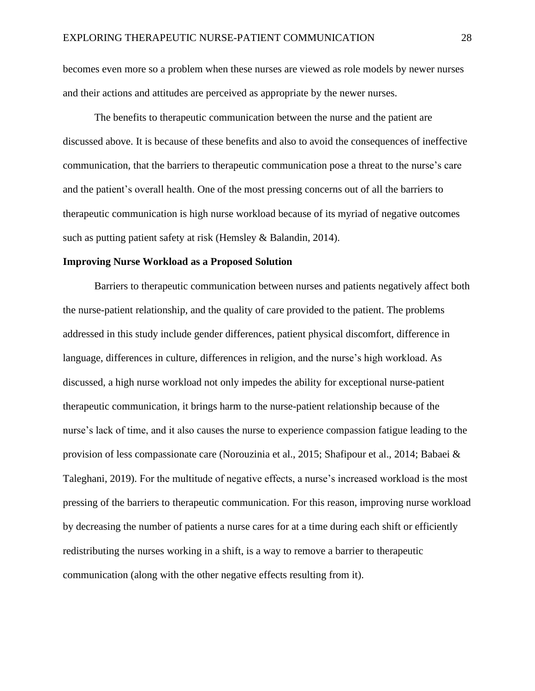becomes even more so a problem when these nurses are viewed as role models by newer nurses and their actions and attitudes are perceived as appropriate by the newer nurses.

The benefits to therapeutic communication between the nurse and the patient are discussed above. It is because of these benefits and also to avoid the consequences of ineffective communication, that the barriers to therapeutic communication pose a threat to the nurse's care and the patient's overall health. One of the most pressing concerns out of all the barriers to therapeutic communication is high nurse workload because of its myriad of negative outcomes such as putting patient safety at risk (Hemsley & Balandin, 2014).

#### **Improving Nurse Workload as a Proposed Solution**

Barriers to therapeutic communication between nurses and patients negatively affect both the nurse-patient relationship, and the quality of care provided to the patient. The problems addressed in this study include gender differences, patient physical discomfort, difference in language, differences in culture, differences in religion, and the nurse's high workload. As discussed, a high nurse workload not only impedes the ability for exceptional nurse-patient therapeutic communication, it brings harm to the nurse-patient relationship because of the nurse's lack of time, and it also causes the nurse to experience compassion fatigue leading to the provision of less compassionate care (Norouzinia et al., 2015; Shafipour et al., 2014; Babaei & Taleghani, 2019). For the multitude of negative effects, a nurse's increased workload is the most pressing of the barriers to therapeutic communication. For this reason, improving nurse workload by decreasing the number of patients a nurse cares for at a time during each shift or efficiently redistributing the nurses working in a shift, is a way to remove a barrier to therapeutic communication (along with the other negative effects resulting from it).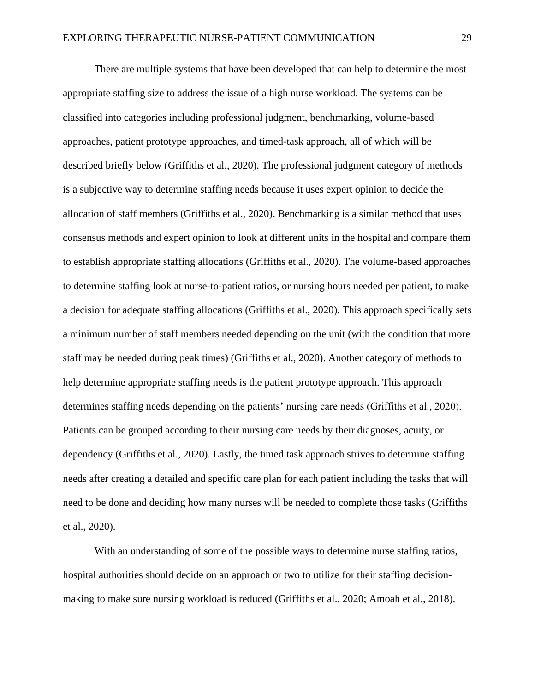There are multiple systems that have been developed that can help to determine the most appropriate staffing size to address the issue of a high nurse workload. The systems can be classified into categories including professional judgment, benchmarking, volume-based approaches, patient prototype approaches, and timed-task approach, all of which will be described briefly below (Griffiths et al., 2020). The professional judgment category of methods is a subjective way to determine staffing needs because it uses expert opinion to decide the allocation of staff members (Griffiths et al., 2020). Benchmarking is a similar method that uses consensus methods and expert opinion to look at different units in the hospital and compare them to establish appropriate staffing allocations (Griffiths et al., 2020). The volume-based approaches to determine staffing look at nurse-to-patient ratios, or nursing hours needed per patient, to make a decision for adequate staffing allocations (Griffiths et al., 2020). This approach specifically sets a minimum number of staff members needed depending on the unit (with the condition that more staff may be needed during peak times) (Griffiths et al., 2020). Another category of methods to help determine appropriate staffing needs is the patient prototype approach. This approach determines staffing needs depending on the patients' nursing care needs (Griffiths et al., 2020). Patients can be grouped according to their nursing care needs by their diagnoses, acuity, or dependency (Griffiths et al., 2020). Lastly, the timed task approach strives to determine staffing needs after creating a detailed and specific care plan for each patient including the tasks that will need to be done and deciding how many nurses will be needed to complete those tasks (Griffiths et al., 2020).

With an understanding of some of the possible ways to determine nurse staffing ratios, hospital authorities should decide on an approach or two to utilize for their staffing decisionmaking to make sure nursing workload is reduced (Griffiths et al., 2020; Amoah et al., 2018).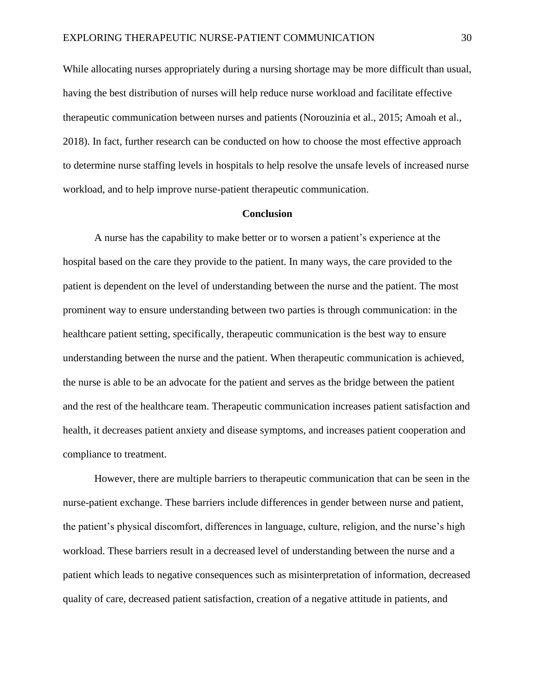While allocating nurses appropriately during a nursing shortage may be more difficult than usual, having the best distribution of nurses will help reduce nurse workload and facilitate effective therapeutic communication between nurses and patients (Norouzinia et al., 2015; Amoah et al., 2018). In fact, further research can be conducted on how to choose the most effective approach to determine nurse staffing levels in hospitals to help resolve the unsafe levels of increased nurse workload, and to help improve nurse-patient therapeutic communication.

# **Conclusion**

A nurse has the capability to make better or to worsen a patient's experience at the hospital based on the care they provide to the patient. In many ways, the care provided to the patient is dependent on the level of understanding between the nurse and the patient. The most prominent way to ensure understanding between two parties is through communication: in the healthcare patient setting, specifically, therapeutic communication is the best way to ensure understanding between the nurse and the patient. When therapeutic communication is achieved, the nurse is able to be an advocate for the patient and serves as the bridge between the patient and the rest of the healthcare team. Therapeutic communication increases patient satisfaction and health, it decreases patient anxiety and disease symptoms, and increases patient cooperation and compliance to treatment.

However, there are multiple barriers to therapeutic communication that can be seen in the nurse-patient exchange. These barriers include differences in gender between nurse and patient, the patient's physical discomfort, differences in language, culture, religion, and the nurse's high workload. These barriers result in a decreased level of understanding between the nurse and a patient which leads to negative consequences such as misinterpretation of information, decreased quality of care, decreased patient satisfaction, creation of a negative attitude in patients, and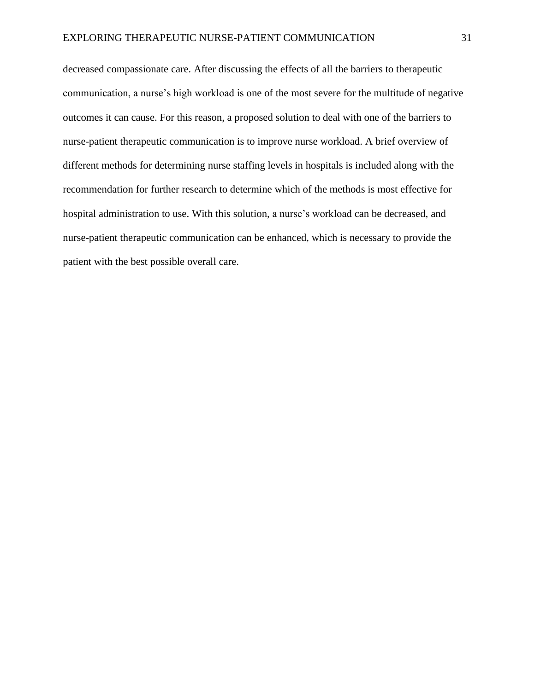decreased compassionate care. After discussing the effects of all the barriers to therapeutic communication, a nurse's high workload is one of the most severe for the multitude of negative outcomes it can cause. For this reason, a proposed solution to deal with one of the barriers to nurse-patient therapeutic communication is to improve nurse workload. A brief overview of different methods for determining nurse staffing levels in hospitals is included along with the recommendation for further research to determine which of the methods is most effective for hospital administration to use. With this solution, a nurse's workload can be decreased, and nurse-patient therapeutic communication can be enhanced, which is necessary to provide the patient with the best possible overall care.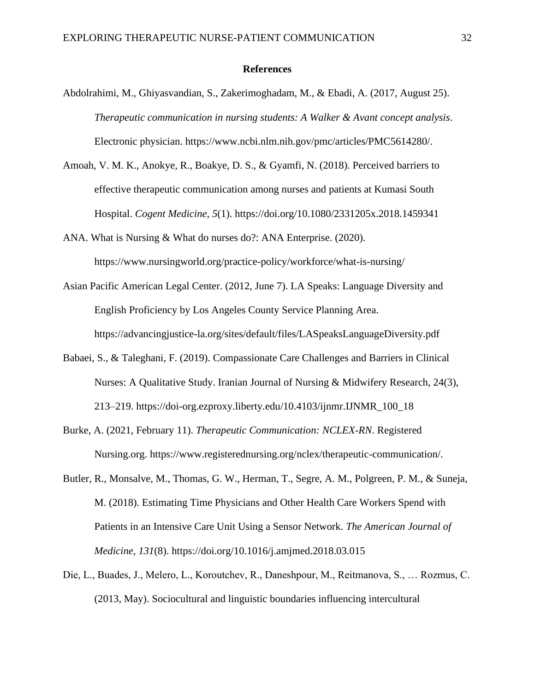### **References**

- Abdolrahimi, M., Ghiyasvandian, S., Zakerimoghadam, M., & Ebadi, A. (2017, August 25). *Therapeutic communication in nursing students: A Walker & Avant concept analysis*. Electronic physician. https://www.ncbi.nlm.nih.gov/pmc/articles/PMC5614280/.
- Amoah, V. M. K., Anokye, R., Boakye, D. S., & Gyamfi, N. (2018). Perceived barriers to effective therapeutic communication among nurses and patients at Kumasi South Hospital. *Cogent Medicine*, *5*(1). https://doi.org/10.1080/2331205x.2018.1459341
- ANA. What is Nursing & What do nurses do?: ANA Enterprise. (2020). https://www.nursingworld.org/practice-policy/workforce/what-is-nursing/
- Asian Pacific American Legal Center. (2012, June 7). LA Speaks: Language Diversity and English Proficiency by Los Angeles County Service Planning Area. https://advancingjustice-la.org/sites/default/files/LASpeaksLanguageDiversity.pdf
- Babaei, S., & Taleghani, F. (2019). Compassionate Care Challenges and Barriers in Clinical Nurses: A Qualitative Study. Iranian Journal of Nursing & Midwifery Research, 24(3), 213–219. https://doi-org.ezproxy.liberty.edu/10.4103/ijnmr.IJNMR\_100\_18
- Burke, A. (2021, February 11). *Therapeutic Communication: NCLEX-RN*. Registered Nursing.org. https://www.registerednursing.org/nclex/therapeutic-communication/.
- Butler, R., Monsalve, M., Thomas, G. W., Herman, T., Segre, A. M., Polgreen, P. M., & Suneja, M. (2018). Estimating Time Physicians and Other Health Care Workers Spend with Patients in an Intensive Care Unit Using a Sensor Network. *The American Journal of Medicine*, *131*(8). https://doi.org/10.1016/j.amjmed.2018.03.015
- Die, L., Buades, J., Melero, L., Koroutchev, R., Daneshpour, M., Reitmanova, S., … Rozmus, C. (2013, May). Sociocultural and linguistic boundaries influencing intercultural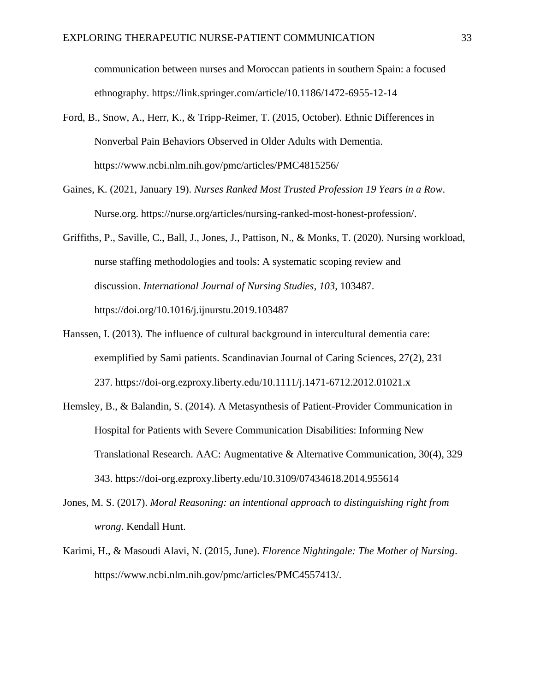communication between nurses and Moroccan patients in southern Spain: a focused ethnography. https://link.springer.com/article/10.1186/1472-6955-12-14

- Ford, B., Snow, A., Herr, K., & Tripp-Reimer, T. (2015, October). Ethnic Differences in Nonverbal Pain Behaviors Observed in Older Adults with Dementia. https://www.ncbi.nlm.nih.gov/pmc/articles/PMC4815256/
- Gaines, K. (2021, January 19). *Nurses Ranked Most Trusted Profession 19 Years in a Row*. Nurse.org. https://nurse.org/articles/nursing-ranked-most-honest-profession/.
- Griffiths, P., Saville, C., Ball, J., Jones, J., Pattison, N., & Monks, T. (2020). Nursing workload, nurse staffing methodologies and tools: A systematic scoping review and discussion. *International Journal of Nursing Studies*, *103*, 103487. https://doi.org/10.1016/j.ijnurstu.2019.103487
- Hanssen, I. (2013). The influence of cultural background in intercultural dementia care: exemplified by Sami patients. Scandinavian Journal of Caring Sciences, 27(2), 231 237. https://doi-org.ezproxy.liberty.edu/10.1111/j.1471-6712.2012.01021.x
- Hemsley, B., & Balandin, S. (2014). A Metasynthesis of Patient-Provider Communication in Hospital for Patients with Severe Communication Disabilities: Informing New Translational Research. AAC: Augmentative & Alternative Communication, 30(4), 329 343. https://doi-org.ezproxy.liberty.edu/10.3109/07434618.2014.955614
- Jones, M. S. (2017). *Moral Reasoning: an intentional approach to distinguishing right from wrong*. Kendall Hunt.
- Karimi, H., & Masoudi Alavi, N. (2015, June). *Florence Nightingale: The Mother of Nursing*. https://www.ncbi.nlm.nih.gov/pmc/articles/PMC4557413/.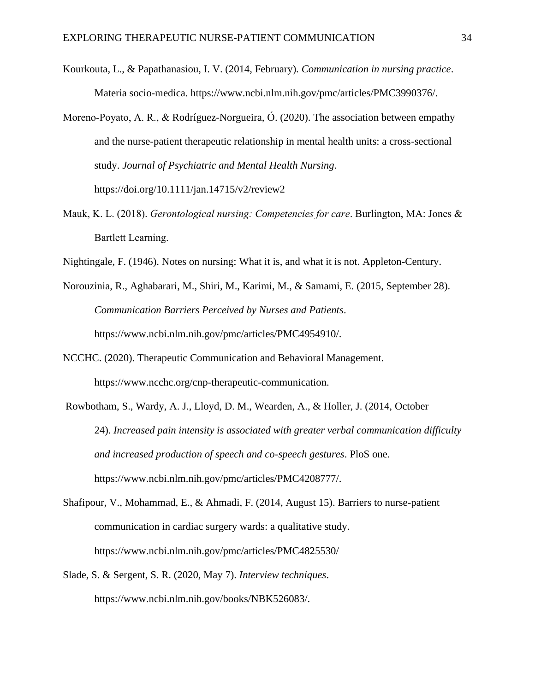- Kourkouta, L., & Papathanasiou, I. V. (2014, February). *Communication in nursing practice*. Materia socio-medica. https://www.ncbi.nlm.nih.gov/pmc/articles/PMC3990376/.
- Moreno‐Poyato, A. R., & Rodríguez-Norgueira, Ó. (2020). The association between empathy and the nurse-patient therapeutic relationship in mental health units: a cross-sectional study. *Journal of Psychiatric and Mental Health Nursing*. https://doi.org/10.1111/jan.14715/v2/review2
- Mauk, K. L. (2018). *Gerontological nursing: Competencies for care*. Burlington, MA: Jones & Bartlett Learning.
- Nightingale, F. (1946). Notes on nursing: What it is, and what it is not. Appleton-Century.
- Norouzinia, R., Aghabarari, M., Shiri, M., Karimi, M., & Samami, E. (2015, September 28). *Communication Barriers Perceived by Nurses and Patients*. https://www.ncbi.nlm.nih.gov/pmc/articles/PMC4954910/.
- NCCHC. (2020). Therapeutic Communication and Behavioral Management. https://www.ncchc.org/cnp-therapeutic-communication.
- Rowbotham, S., Wardy, A. J., Lloyd, D. M., Wearden, A., & Holler, J. (2014, October 24). *Increased pain intensity is associated with greater verbal communication difficulty and increased production of speech and co-speech gestures*. PloS one. https://www.ncbi.nlm.nih.gov/pmc/articles/PMC4208777/.
- Shafipour, V., Mohammad, E., & Ahmadi, F. (2014, August 15). Barriers to nurse-patient communication in cardiac surgery wards: a qualitative study. https://www.ncbi.nlm.nih.gov/pmc/articles/PMC4825530/
- Slade, S. & Sergent, S. R. (2020, May 7). *Interview techniques*. https://www.ncbi.nlm.nih.gov/books/NBK526083/.